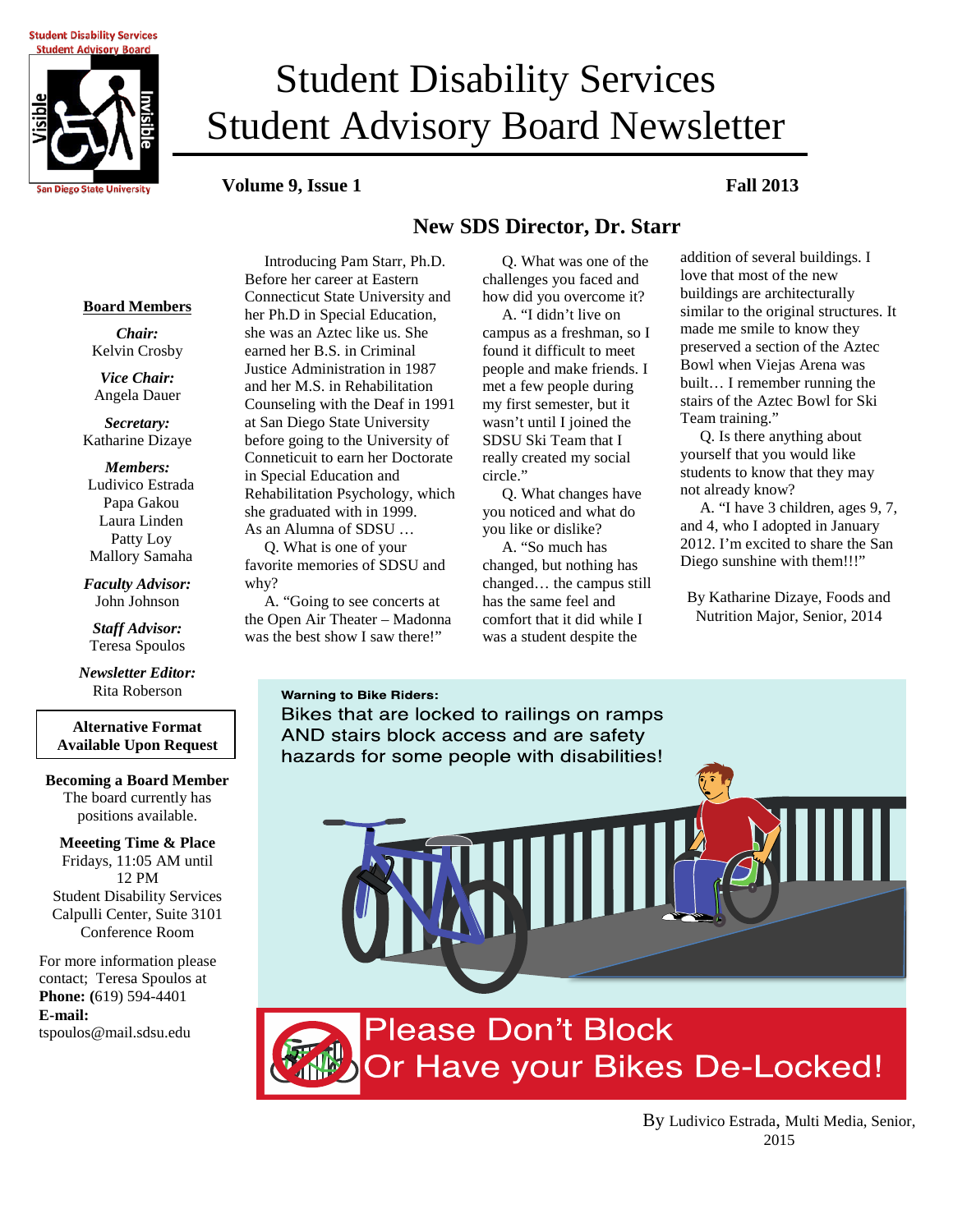**Student Disability Services Student Advisory Board** 



# **Student Advisory Board Newsletter** Student Disability Services

### **Volume 9, Issue 1 Fall 2013**

# **New SDS Director, Dr. Starr**

 Q. What was one of the challenges you faced and how did you overcome it? A. "I didn't live on campus as a freshman, so I found it difficult to meet people and make friends. I met a few people during my first semester, but it wasn't until I joined the SDSU Ski Team that I really created my social

 Q. What changes have you noticed and what do you like or dislike? A. "So much has changed, but nothing has changed… the campus still has the same feel and comfort that it did while I was a student despite the

**Board Members**

*Chair:* Kelvin Crosby

*Vice Chair:* Angela Dauer

*Secretary:* Katharine Dizaye

*Members:* Ludivico Estrada Papa Gakou Laura Linden Patty Loy Mallory Samaha

*Faculty Advisor:* John Johnson

*Staff Advisor:* Teresa Spoulos

*Newsletter Editor:* Rita Roberson

**Alternative Format Available Upon Request**

#### **Becoming a Board Member** The board currently has positions available.

**Meeeting Time & Place** Fridays, 11:05 AM until 12 PM Student Disability Services Calpulli Center, Suite 3101 Conference Room

For more information please contact; Teresa Spoulos at **Phone: (**619) 594-4401 **E-mail:** tspoulos@mail.sdsu.edu

 Introducing Pam Starr, Ph.D. Before her career at Eastern Connecticut State University and her Ph.D in Special Education, she was an Aztec like us. She earned her B.S. in Criminal Justice Administration in 1987 and her M.S. in Rehabilitation Counseling with the Deaf in 1991 at San Diego State University before going to the University of Conneticuit to earn her Doctorate in Special Education and Rehabilitation Psychology, which she graduated with in 1999. As an Alumna of SDSU …

 Q. What is one of your favorite memories of SDSU and why?

 A. "Going to see concerts at the Open Air Theater – Madonna was the best show I saw there!"

#### **Warning to Bike Riders:**

Bikes that are locked to railings on ramps AND stairs block access and are safety hazards for some people with disabilities!

circle."

addition of several buildings. I love that most of the new buildings are architecturally similar to the original structures. It made me smile to know they preserved a section of the Aztec Bowl when Viejas Arena was built… I remember running the stairs of the Aztec Bowl for Ski Team training."

 Q. Is there anything about yourself that you would like students to know that they may not already know?

 A. "I have 3 children, ages 9, 7, and 4, who I adopted in January 2012. I'm excited to share the San Diego sunshine with them!!!"

By Katharine Dizaye, Foods and Nutrition Major, Senior, 2014

**Please Don't Block** Or Have your Bikes De-Locked!